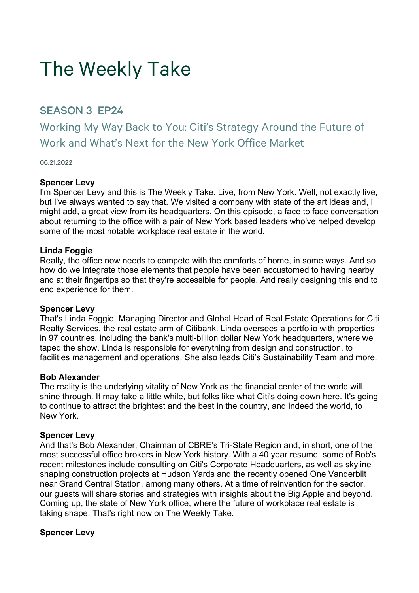# The Weekly Take

# SEASON 3 EP24

Working My Way Back to You: Citi's Strategy Around the Future of Work and What's Next for the New York Office Market

06.21.2022

#### **Spencer Levy**

I'm Spencer Levy and this is The Weekly Take. Live, from New York. Well, not exactly live, but I've always wanted to say that. We visited a company with state of the art ideas and, I might add, a great view from its headquarters. On this episode, a face to face conversation about returning to the office with a pair of New York based leaders who've helped develop some of the most notable workplace real estate in the world.

#### **Linda Foggie**

Really, the office now needs to compete with the comforts of home, in some ways. And so how do we integrate those elements that people have been accustomed to having nearby and at their fingertips so that they're accessible for people. And really designing this end to end experience for them.

#### **Spencer Levy**

That's Linda Foggie, Managing Director and Global Head of Real Estate Operations for Citi Realty Services, the real estate arm of Citibank. Linda oversees a portfolio with properties in 97 countries, including the bank's multi-billion dollar New York headquarters, where we taped the show. Linda is responsible for everything from design and construction, to facilities management and operations. She also leads Citi's Sustainability Team and more.

#### **Bob Alexander**

The reality is the underlying vitality of New York as the financial center of the world will shine through. It may take a little while, but folks like what Citi's doing down here. It's going to continue to attract the brightest and the best in the country, and indeed the world, to New York.

#### **Spencer Levy**

And that's Bob Alexander, Chairman of CBRE's Tri-State Region and, in short, one of the most successful office brokers in New York history. With a 40 year resume, some of Bob's recent milestones include consulting on Citi's Corporate Headquarters, as well as skyline shaping construction projects at Hudson Yards and the recently opened One Vanderbilt near Grand Central Station, among many others. At a time of reinvention for the sector, our guests will share stories and strategies with insights about the Big Apple and beyond. Coming up, the state of New York office, where the future of workplace real estate is taking shape. That's right now on The Weekly Take.

#### **Spencer Levy**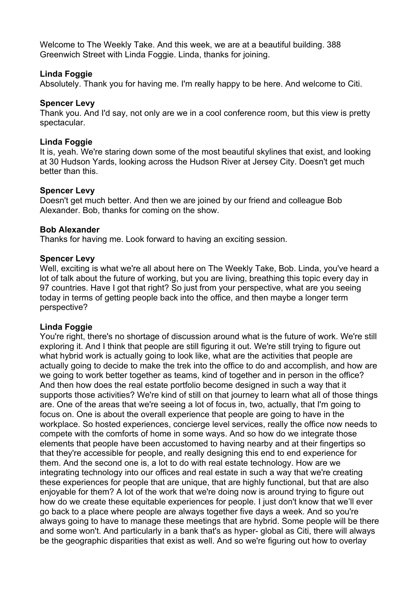Welcome to The Weekly Take. And this week, we are at a beautiful building. 388 Greenwich Street with Linda Foggie. Linda, thanks for joining.

#### **Linda Foggie**

Absolutely. Thank you for having me. I'm really happy to be here. And welcome to Citi.

#### **Spencer Levy**

Thank you. And I'd say, not only are we in a cool conference room, but this view is pretty spectacular.

#### **Linda Foggie**

It is, yeah. We're staring down some of the most beautiful skylines that exist, and looking at 30 Hudson Yards, looking across the Hudson River at Jersey City. Doesn't get much better than this.

#### **Spencer Levy**

Doesn't get much better. And then we are joined by our friend and colleague Bob Alexander. Bob, thanks for coming on the show.

#### **Bob Alexander**

Thanks for having me. Look forward to having an exciting session.

#### **Spencer Levy**

Well, exciting is what we're all about here on The Weekly Take, Bob. Linda, you've heard a lot of talk about the future of working, but you are living, breathing this topic every day in 97 countries. Have I got that right? So just from your perspective, what are you seeing today in terms of getting people back into the office, and then maybe a longer term perspective?

#### **Linda Foggie**

You're right, there's no shortage of discussion around what is the future of work. We're still exploring it. And I think that people are still figuring it out. We're still trying to figure out what hybrid work is actually going to look like, what are the activities that people are actually going to decide to make the trek into the office to do and accomplish, and how are we going to work better together as teams, kind of together and in person in the office? And then how does the real estate portfolio become designed in such a way that it supports those activities? We're kind of still on that journey to learn what all of those things are. One of the areas that we're seeing a lot of focus in, two, actually, that I'm going to focus on. One is about the overall experience that people are going to have in the workplace. So hosted experiences, concierge level services, really the office now needs to compete with the comforts of home in some ways. And so how do we integrate those elements that people have been accustomed to having nearby and at their fingertips so that they're accessible for people, and really designing this end to end experience for them. And the second one is, a lot to do with real estate technology. How are we integrating technology into our offices and real estate in such a way that we're creating these experiences for people that are unique, that are highly functional, but that are also enjoyable for them? A lot of the work that we're doing now is around trying to figure out how do we create these equitable experiences for people. I just don't know that we'll ever go back to a place where people are always together five days a week. And so you're always going to have to manage these meetings that are hybrid. Some people will be there and some won't. And particularly in a bank that's as hyper- global as Citi, there will always be the geographic disparities that exist as well. And so we're figuring out how to overlay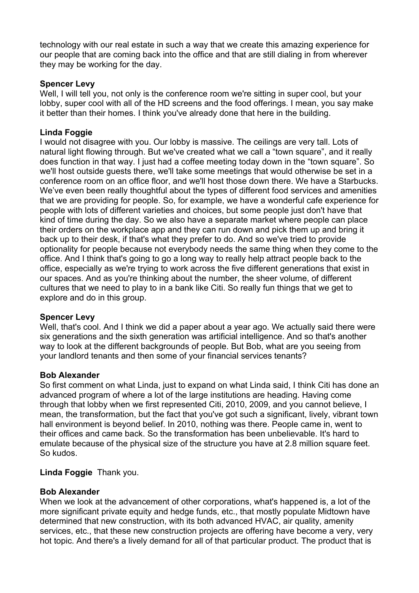technology with our real estate in such a way that we create this amazing experience for our people that are coming back into the office and that are still dialing in from wherever they may be working for the day.

# **Spencer Levy**

Well, I will tell you, not only is the conference room we're sitting in super cool, but your lobby, super cool with all of the HD screens and the food offerings. I mean, you say make it better than their homes. I think you've already done that here in the building.

# **Linda Foggie**

I would not disagree with you. Our lobby is massive. The ceilings are very tall. Lots of natural light flowing through. But we've created what we call a "town square", and it really does function in that way. I just had a coffee meeting today down in the "town square". So we'll host outside guests there, we'll take some meetings that would otherwise be set in a conference room on an office floor, and we'll host those down there. We have a Starbucks. We've even been really thoughtful about the types of different food services and amenities that we are providing for people. So, for example, we have a wonderful cafe experience for people with lots of different varieties and choices, but some people just don't have that kind of time during the day. So we also have a separate market where people can place their orders on the workplace app and they can run down and pick them up and bring it back up to their desk, if that's what they prefer to do. And so we've tried to provide optionality for people because not everybody needs the same thing when they come to the office. And I think that's going to go a long way to really help attract people back to the office, especially as we're trying to work across the five different generations that exist in our spaces. And as you're thinking about the number, the sheer volume, of different cultures that we need to play to in a bank like Citi. So really fun things that we get to explore and do in this group.

#### **Spencer Levy**

Well, that's cool. And I think we did a paper about a year ago. We actually said there were six generations and the sixth generation was artificial intelligence. And so that's another way to look at the different backgrounds of people. But Bob, what are you seeing from your landlord tenants and then some of your financial services tenants?

#### **Bob Alexander**

So first comment on what Linda, just to expand on what Linda said, I think Citi has done an advanced program of where a lot of the large institutions are heading. Having come through that lobby when we first represented Citi, 2010, 2009, and you cannot believe, I mean, the transformation, but the fact that you've got such a significant, lively, vibrant town hall environment is beyond belief. In 2010, nothing was there. People came in, went to their offices and came back. So the transformation has been unbelievable. It's hard to emulate because of the physical size of the structure you have at 2.8 million square feet. So kudos.

# **Linda Foggie** Thank you.

# **Bob Alexander**

When we look at the advancement of other corporations, what's happened is, a lot of the more significant private equity and hedge funds, etc., that mostly populate Midtown have determined that new construction, with its both advanced HVAC, air quality, amenity services, etc., that these new construction projects are offering have become a very, very hot topic. And there's a lively demand for all of that particular product. The product that is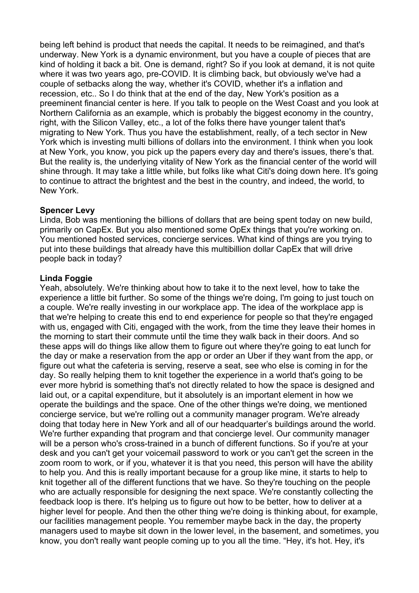being left behind is product that needs the capital. It needs to be reimagined, and that's underway. New York is a dynamic environment, but you have a couple of pieces that are kind of holding it back a bit. One is demand, right? So if you look at demand, it is not quite where it was two years ago, pre-COVID. It is climbing back, but obviously we've had a couple of setbacks along the way, whether it's COVID, whether it's a inflation and recession, etc.. So I do think that at the end of the day, New York's position as a preeminent financial center is here. If you talk to people on the West Coast and you look at Northern California as an example, which is probably the biggest economy in the country, right, with the Silicon Valley, etc., a lot of the folks there have younger talent that's migrating to New York. Thus you have the establishment, really, of a tech sector in New York which is investing multi billions of dollars into the environment. I think when you look at New York, you know, you pick up the papers every day and there's issues, there's that. But the reality is, the underlying vitality of New York as the financial center of the world will shine through. It may take a little while, but folks like what Citi's doing down here. It's going to continue to attract the brightest and the best in the country, and indeed, the world, to New York.

# **Spencer Levy**

Linda, Bob was mentioning the billions of dollars that are being spent today on new build, primarily on CapEx. But you also mentioned some OpEx things that you're working on. You mentioned hosted services, concierge services. What kind of things are you trying to put into these buildings that already have this multibillion dollar CapEx that will drive people back in today?

# **Linda Foggie**

Yeah, absolutely. We're thinking about how to take it to the next level, how to take the experience a little bit further. So some of the things we're doing, I'm going to just touch on a couple. We're really investing in our workplace app. The idea of the workplace app is that we're helping to create this end to end experience for people so that they're engaged with us, engaged with Citi, engaged with the work, from the time they leave their homes in the morning to start their commute until the time they walk back in their doors. And so these apps will do things like allow them to figure out where they're going to eat lunch for the day or make a reservation from the app or order an Uber if they want from the app, or figure out what the cafeteria is serving, reserve a seat, see who else is coming in for the day. So really helping them to knit together the experience in a world that's going to be ever more hybrid is something that's not directly related to how the space is designed and laid out, or a capital expenditure, but it absolutely is an important element in how we operate the buildings and the space. One of the other things we're doing, we mentioned concierge service, but we're rolling out a community manager program. We're already doing that today here in New York and all of our headquarter's buildings around the world. We're further expanding that program and that concierge level. Our community manager will be a person who's cross-trained in a bunch of different functions. So if you're at your desk and you can't get your voicemail password to work or you can't get the screen in the zoom room to work, or if you, whatever it is that you need, this person will have the ability to help you. And this is really important because for a group like mine, it starts to help to knit together all of the different functions that we have. So they're touching on the people who are actually responsible for designing the next space. We're constantly collecting the feedback loop is there. It's helping us to figure out how to be better, how to deliver at a higher level for people. And then the other thing we're doing is thinking about, for example, our facilities management people. You remember maybe back in the day, the property managers used to maybe sit down in the lower level, in the basement, and sometimes, you know, you don't really want people coming up to you all the time. "Hey, it's hot. Hey, it's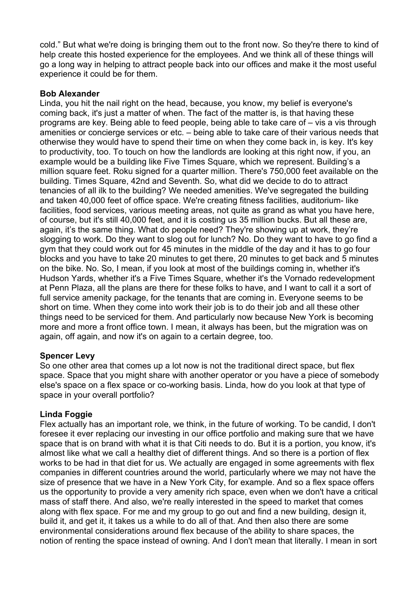cold." But what we're doing is bringing them out to the front now. So they're there to kind of help create this hosted experience for the employees. And we think all of these things will go a long way in helping to attract people back into our offices and make it the most useful experience it could be for them.

# **Bob Alexander**

Linda, you hit the nail right on the head, because, you know, my belief is everyone's coming back, it's just a matter of when. The fact of the matter is, is that having these programs are key. Being able to feed people, being able to take care of – vis a vis through amenities or concierge services or etc. – being able to take care of their various needs that otherwise they would have to spend their time on when they come back in, is key. It's key to productivity, too. To touch on how the landlords are looking at this right now, if you, an example would be a building like Five Times Square, which we represent. Building's a million square feet. Roku signed for a quarter million. There's 750,000 feet available on the building. Times Square, 42nd and Seventh. So, what did we decide to do to attract tenancies of all ilk to the building? We needed amenities. We've segregated the building and taken 40,000 feet of office space. We're creating fitness facilities, auditorium- like facilities, food services, various meeting areas, not quite as grand as what you have here, of course, but it's still 40,000 feet, and it is costing us 35 million bucks. But all these are, again, it's the same thing. What do people need? They're showing up at work, they're slogging to work. Do they want to slog out for lunch? No. Do they want to have to go find a gym that they could work out for 45 minutes in the middle of the day and it has to go four blocks and you have to take 20 minutes to get there, 20 minutes to get back and 5 minutes on the bike. No. So, I mean, if you look at most of the buildings coming in, whether it's Hudson Yards, whether it's a Five Times Square, whether it's the Vornado redevelopment at Penn Plaza, all the plans are there for these folks to have, and I want to call it a sort of full service amenity package, for the tenants that are coming in. Everyone seems to be short on time. When they come into work their job is to do their job and all these other things need to be serviced for them. And particularly now because New York is becoming more and more a front office town. I mean, it always has been, but the migration was on again, off again, and now it's on again to a certain degree, too.

#### **Spencer Levy**

So one other area that comes up a lot now is not the traditional direct space, but flex space. Space that you might share with another operator or you have a piece of somebody else's space on a flex space or co-working basis. Linda, how do you look at that type of space in your overall portfolio?

#### **Linda Foggie**

Flex actually has an important role, we think, in the future of working. To be candid, I don't foresee it ever replacing our investing in our office portfolio and making sure that we have space that is on brand with what it is that Citi needs to do. But it is a portion, you know, it's almost like what we call a healthy diet of different things. And so there is a portion of flex works to be had in that diet for us. We actually are engaged in some agreements with flex companies in different countries around the world, particularly where we may not have the size of presence that we have in a New York City, for example. And so a flex space offers us the opportunity to provide a very amenity rich space, even when we don't have a critical mass of staff there. And also, we're really interested in the speed to market that comes along with flex space. For me and my group to go out and find a new building, design it, build it, and get it, it takes us a while to do all of that. And then also there are some environmental considerations around flex because of the ability to share spaces, the notion of renting the space instead of owning. And I don't mean that literally. I mean in sort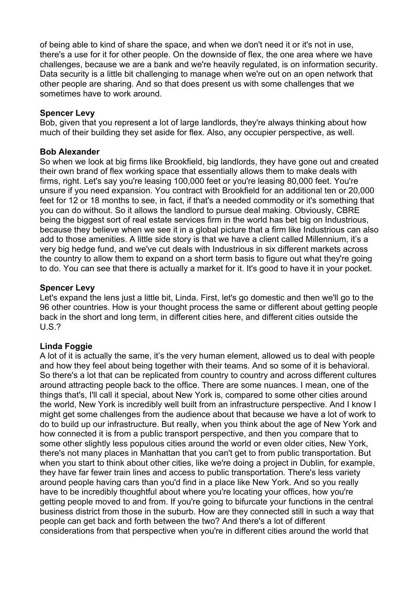of being able to kind of share the space, and when we don't need it or it's not in use, there's a use for it for other people. On the downside of flex, the one area where we have challenges, because we are a bank and we're heavily regulated, is on information security. Data security is a little bit challenging to manage when we're out on an open network that other people are sharing. And so that does present us with some challenges that we sometimes have to work around.

#### **Spencer Levy**

Bob, given that you represent a lot of large landlords, they're always thinking about how much of their building they set aside for flex. Also, any occupier perspective, as well.

#### **Bob Alexander**

So when we look at big firms like Brookfield, big landlords, they have gone out and created their own brand of flex working space that essentially allows them to make deals with firms, right. Let's say you're leasing 100,000 feet or you're leasing 80,000 feet. You're unsure if you need expansion. You contract with Brookfield for an additional ten or 20,000 feet for 12 or 18 months to see, in fact, if that's a needed commodity or it's something that you can do without. So it allows the landlord to pursue deal making. Obviously, CBRE being the biggest sort of real estate services firm in the world has bet big on Industrious, because they believe when we see it in a global picture that a firm like Industrious can also add to those amenities. A little side story is that we have a client called Millennium, it's a very big hedge fund, and we've cut deals with Industrious in six different markets across the country to allow them to expand on a short term basis to figure out what they're going to do. You can see that there is actually a market for it. It's good to have it in your pocket.

#### **Spencer Levy**

Let's expand the lens just a little bit, Linda. First, let's go domestic and then we'll go to the 96 other countries. How is your thought process the same or different about getting people back in the short and long term, in different cities here, and different cities outside the U.S.?

#### **Linda Foggie**

A lot of it is actually the same, it's the very human element, allowed us to deal with people and how they feel about being together with their teams. And so some of it is behavioral. So there's a lot that can be replicated from country to country and across different cultures around attracting people back to the office. There are some nuances. I mean, one of the things that's, I'll call it special, about New York is, compared to some other cities around the world, New York is incredibly well built from an infrastructure perspective. And I know I might get some challenges from the audience about that because we have a lot of work to do to build up our infrastructure. But really, when you think about the age of New York and how connected it is from a public transport perspective, and then you compare that to some other slightly less populous cities around the world or even older cities, New York, there's not many places in Manhattan that you can't get to from public transportation. But when you start to think about other cities, like we're doing a project in Dublin, for example, they have far fewer train lines and access to public transportation. There's less variety around people having cars than you'd find in a place like New York. And so you really have to be incredibly thoughtful about where you're locating your offices, how you're getting people moved to and from. If you're going to bifurcate your functions in the central business district from those in the suburb. How are they connected still in such a way that people can get back and forth between the two? And there's a lot of different considerations from that perspective when you're in different cities around the world that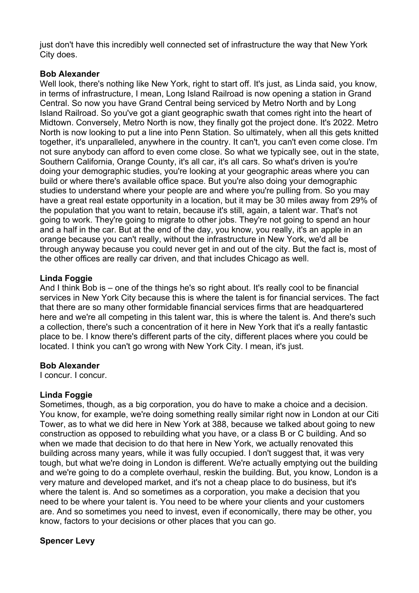just don't have this incredibly well connected set of infrastructure the way that New York City does.

# **Bob Alexander**

Well look, there's nothing like New York, right to start off. It's just, as Linda said, you know, in terms of infrastructure, I mean, Long Island Railroad is now opening a station in Grand Central. So now you have Grand Central being serviced by Metro North and by Long Island Railroad. So you've got a giant geographic swath that comes right into the heart of Midtown. Conversely, Metro North is now, they finally got the project done. It's 2022. Metro North is now looking to put a line into Penn Station. So ultimately, when all this gets knitted together, it's unparalleled, anywhere in the country. It can't, you can't even come close. I'm not sure anybody can afford to even come close. So what we typically see, out in the state, Southern California, Orange County, it's all car, it's all cars. So what's driven is you're doing your demographic studies, you're looking at your geographic areas where you can build or where there's available office space. But you're also doing your demographic studies to understand where your people are and where you're pulling from. So you may have a great real estate opportunity in a location, but it may be 30 miles away from 29% of the population that you want to retain, because it's still, again, a talent war. That's not going to work. They're going to migrate to other jobs. They're not going to spend an hour and a half in the car. But at the end of the day, you know, you really, it's an apple in an orange because you can't really, without the infrastructure in New York, we'd all be through anyway because you could never get in and out of the city. But the fact is, most of the other offices are really car driven, and that includes Chicago as well.

# **Linda Foggie**

And I think Bob is – one of the things he's so right about. It's really cool to be financial services in New York City because this is where the talent is for financial services. The fact that there are so many other formidable financial services firms that are headquartered here and we're all competing in this talent war, this is where the talent is. And there's such a collection, there's such a concentration of it here in New York that it's a really fantastic place to be. I know there's different parts of the city, different places where you could be located. I think you can't go wrong with New York City. I mean, it's just.

# **Bob Alexander**

I concur. I concur.

# **Linda Foggie**

Sometimes, though, as a big corporation, you do have to make a choice and a decision. You know, for example, we're doing something really similar right now in London at our Citi Tower, as to what we did here in New York at 388, because we talked about going to new construction as opposed to rebuilding what you have, or a class B or C building. And so when we made that decision to do that here in New York, we actually renovated this building across many years, while it was fully occupied. I don't suggest that, it was very tough, but what we're doing in London is different. We're actually emptying out the building and we're going to do a complete overhaul, reskin the building. But, you know, London is a very mature and developed market, and it's not a cheap place to do business, but it's where the talent is. And so sometimes as a corporation, you make a decision that you need to be where your talent is. You need to be where your clients and your customers are. And so sometimes you need to invest, even if economically, there may be other, you know, factors to your decisions or other places that you can go.

# **Spencer Levy**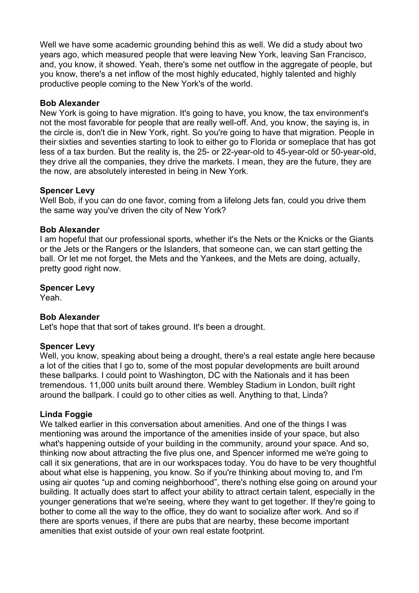Well we have some academic grounding behind this as well. We did a study about two years ago, which measured people that were leaving New York, leaving San Francisco, and, you know, it showed. Yeah, there's some net outflow in the aggregate of people, but you know, there's a net inflow of the most highly educated, highly talented and highly productive people coming to the New York's of the world.

#### **Bob Alexander**

New York is going to have migration. It's going to have, you know, the tax environment's not the most favorable for people that are really well-off. And, you know, the saying is, in the circle is, don't die in New York, right. So you're going to have that migration. People in their sixties and seventies starting to look to either go to Florida or someplace that has got less of a tax burden. But the reality is, the 25- or 22-year-old to 45-year-old or 50-year-old, they drive all the companies, they drive the markets. I mean, they are the future, they are the now, are absolutely interested in being in New York.

#### **Spencer Levy**

Well Bob, if you can do one favor, coming from a lifelong Jets fan, could you drive them the same way you've driven the city of New York?

# **Bob Alexander**

I am hopeful that our professional sports, whether it's the Nets or the Knicks or the Giants or the Jets or the Rangers or the Islanders, that someone can, we can start getting the ball. Or let me not forget, the Mets and the Yankees, and the Mets are doing, actually, pretty good right now.

# **Spencer Levy**

Yeah.

# **Bob Alexander**

Let's hope that that sort of takes ground. It's been a drought.

#### **Spencer Levy**

Well, you know, speaking about being a drought, there's a real estate angle here because a lot of the cities that I go to, some of the most popular developments are built around these ballparks. I could point to Washington, DC with the Nationals and it has been tremendous. 11,000 units built around there. Wembley Stadium in London, built right around the ballpark. I could go to other cities as well. Anything to that, Linda?

#### **Linda Foggie**

We talked earlier in this conversation about amenities. And one of the things I was mentioning was around the importance of the amenities inside of your space, but also what's happening outside of your building in the community, around your space. And so, thinking now about attracting the five plus one, and Spencer informed me we're going to call it six generations, that are in our workspaces today. You do have to be very thoughtful about what else is happening, you know. So if you're thinking about moving to, and I'm using air quotes "up and coming neighborhood", there's nothing else going on around your building. It actually does start to affect your ability to attract certain talent, especially in the younger generations that we're seeing, where they want to get together. If they're going to bother to come all the way to the office, they do want to socialize after work. And so if there are sports venues, if there are pubs that are nearby, these become important amenities that exist outside of your own real estate footprint.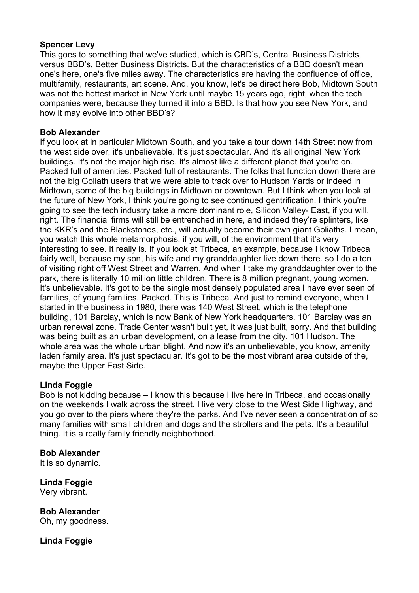#### **Spencer Levy**

This goes to something that we've studied, which is CBD's, Central Business Districts, versus BBD's, Better Business Districts. But the characteristics of a BBD doesn't mean one's here, one's five miles away. The characteristics are having the confluence of office, multifamily, restaurants, art scene. And, you know, let's be direct here Bob, Midtown South was not the hottest market in New York until maybe 15 years ago, right, when the tech companies were, because they turned it into a BBD. Is that how you see New York, and how it may evolve into other BBD's?

#### **Bob Alexander**

If you look at in particular Midtown South, and you take a tour down 14th Street now from the west side over, it's unbelievable. It's just spectacular. And it's all original New York buildings. It's not the major high rise. It's almost like a different planet that you're on. Packed full of amenities. Packed full of restaurants. The folks that function down there are not the big Goliath users that we were able to track over to Hudson Yards or indeed in Midtown, some of the big buildings in Midtown or downtown. But I think when you look at the future of New York, I think you're going to see continued gentrification. I think you're going to see the tech industry take a more dominant role, Silicon Valley- East, if you will, right. The financial firms will still be entrenched in here, and indeed they're splinters, like the KKR's and the Blackstones, etc., will actually become their own giant Goliaths. I mean, you watch this whole metamorphosis, if you will, of the environment that it's very interesting to see. It really is. If you look at Tribeca, an example, because I know Tribeca fairly well, because my son, his wife and my granddaughter live down there. so I do a ton of visiting right off West Street and Warren. And when I take my granddaughter over to the park, there is literally 10 million little children. There is 8 million pregnant, young women. It's unbelievable. It's got to be the single most densely populated area I have ever seen of families, of young families. Packed. This is Tribeca. And just to remind everyone, when I started in the business in 1980, there was 140 West Street, which is the telephone building, 101 Barclay, which is now Bank of New York headquarters. 101 Barclay was an urban renewal zone. Trade Center wasn't built yet, it was just built, sorry. And that building was being built as an urban development, on a lease from the city, 101 Hudson. The whole area was the whole urban blight. And now it's an unbelievable, you know, amenity laden family area. It's just spectacular. It's got to be the most vibrant area outside of the, maybe the Upper East Side.

#### **Linda Foggie**

Bob is not kidding because – I know this because I live here in Tribeca, and occasionally on the weekends I walk across the street. I live very close to the West Side Highway, and you go over to the piers where they're the parks. And I've never seen a concentration of so many families with small children and dogs and the strollers and the pets. It's a beautiful thing. It is a really family friendly neighborhood.

#### **Bob Alexander**

It is so dynamic.

**Linda Foggie**  Very vibrant.

**Bob Alexander**  Oh, my goodness.

**Linda Foggie**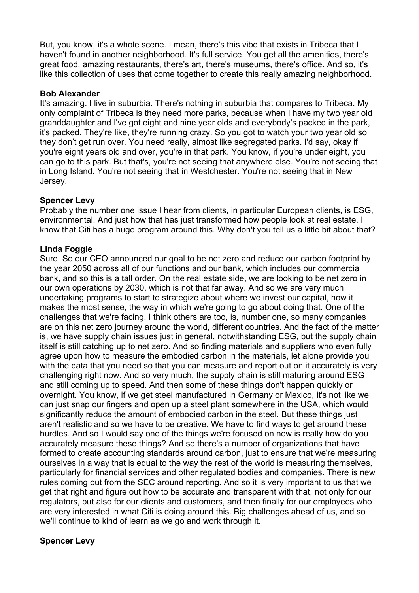But, you know, it's a whole scene. I mean, there's this vibe that exists in Tribeca that I haven't found in another neighborhood. It's full service. You get all the amenities, there's great food, amazing restaurants, there's art, there's museums, there's office. And so, it's like this collection of uses that come together to create this really amazing neighborhood.

#### **Bob Alexander**

It's amazing. I live in suburbia. There's nothing in suburbia that compares to Tribeca. My only complaint of Tribeca is they need more parks, because when I have my two year old granddaughter and I've got eight and nine year olds and everybody's packed in the park, it's packed. They're like, they're running crazy. So you got to watch your two year old so they don't get run over. You need really, almost like segregated parks. I'd say, okay if you're eight years old and over, you're in that park. You know, if you're under eight, you can go to this park. But that's, you're not seeing that anywhere else. You're not seeing that in Long Island. You're not seeing that in Westchester. You're not seeing that in New Jersey.

# **Spencer Levy**

Probably the number one issue I hear from clients, in particular European clients, is ESG, environmental. And just how that has just transformed how people look at real estate. I know that Citi has a huge program around this. Why don't you tell us a little bit about that?

# **Linda Foggie**

Sure. So our CEO announced our goal to be net zero and reduce our carbon footprint by the year 2050 across all of our functions and our bank, which includes our commercial bank, and so this is a tall order. On the real estate side, we are looking to be net zero in our own operations by 2030, which is not that far away. And so we are very much undertaking programs to start to strategize about where we invest our capital, how it makes the most sense, the way in which we're going to go about doing that. One of the challenges that we're facing, I think others are too, is, number one, so many companies are on this net zero journey around the world, different countries. And the fact of the matter is, we have supply chain issues just in general, notwithstanding ESG, but the supply chain itself is still catching up to net zero. And so finding materials and suppliers who even fully agree upon how to measure the embodied carbon in the materials, let alone provide you with the data that you need so that you can measure and report out on it accurately is very challenging right now. And so very much, the supply chain is still maturing around ESG and still coming up to speed. And then some of these things don't happen quickly or overnight. You know, if we get steel manufactured in Germany or Mexico, it's not like we can just snap our fingers and open up a steel plant somewhere in the USA, which would significantly reduce the amount of embodied carbon in the steel. But these things just aren't realistic and so we have to be creative. We have to find ways to get around these hurdles. And so I would say one of the things we're focused on now is really how do you accurately measure these things? And so there's a number of organizations that have formed to create accounting standards around carbon, just to ensure that we're measuring ourselves in a way that is equal to the way the rest of the world is measuring themselves, particularly for financial services and other regulated bodies and companies. There is new rules coming out from the SEC around reporting. And so it is very important to us that we get that right and figure out how to be accurate and transparent with that, not only for our regulators, but also for our clients and customers, and then finally for our employees who are very interested in what Citi is doing around this. Big challenges ahead of us, and so we'll continue to kind of learn as we go and work through it.

# **Spencer Levy**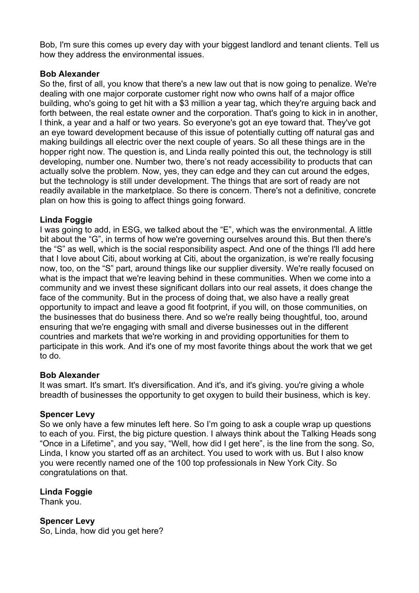Bob, I'm sure this comes up every day with your biggest landlord and tenant clients. Tell us how they address the environmental issues.

# **Bob Alexander**

So the, first of all, you know that there's a new law out that is now going to penalize. We're dealing with one major corporate customer right now who owns half of a major office building, who's going to get hit with a \$3 million a year tag, which they're arguing back and forth between, the real estate owner and the corporation. That's going to kick in in another, I think, a year and a half or two years. So everyone's got an eye toward that. They've got an eye toward development because of this issue of potentially cutting off natural gas and making buildings all electric over the next couple of years. So all these things are in the hopper right now. The question is, and Linda really pointed this out, the technology is still developing, number one. Number two, there's not ready accessibility to products that can actually solve the problem. Now, yes, they can edge and they can cut around the edges, but the technology is still under development. The things that are sort of ready are not readily available in the marketplace. So there is concern. There's not a definitive, concrete plan on how this is going to affect things going forward.

#### **Linda Foggie**

I was going to add, in ESG, we talked about the "E", which was the environmental. A little bit about the "G", in terms of how we're governing ourselves around this. But then there's the "S" as well, which is the social responsibility aspect. And one of the things I'll add here that I love about Citi, about working at Citi, about the organization, is we're really focusing now, too, on the "S" part, around things like our supplier diversity. We're really focused on what is the impact that we're leaving behind in these communities. When we come into a community and we invest these significant dollars into our real assets, it does change the face of the community. But in the process of doing that, we also have a really great opportunity to impact and leave a good fit footprint, if you will, on those communities, on the businesses that do business there. And so we're really being thoughtful, too, around ensuring that we're engaging with small and diverse businesses out in the different countries and markets that we're working in and providing opportunities for them to participate in this work. And it's one of my most favorite things about the work that we get to do.

#### **Bob Alexander**

It was smart. It's smart. It's diversification. And it's, and it's giving. you're giving a whole breadth of businesses the opportunity to get oxygen to build their business, which is key.

#### **Spencer Levy**

So we only have a few minutes left here. So I'm going to ask a couple wrap up questions to each of you. First, the big picture question. I always think about the Talking Heads song "Once in a Lifetime", and you say, "Well, how did I get here", is the line from the song. So, Linda, I know you started off as an architect. You used to work with us. But I also know you were recently named one of the 100 top professionals in New York City. So congratulations on that.

# **Linda Foggie**

Thank you.

#### **Spencer Levy**

So, Linda, how did you get here?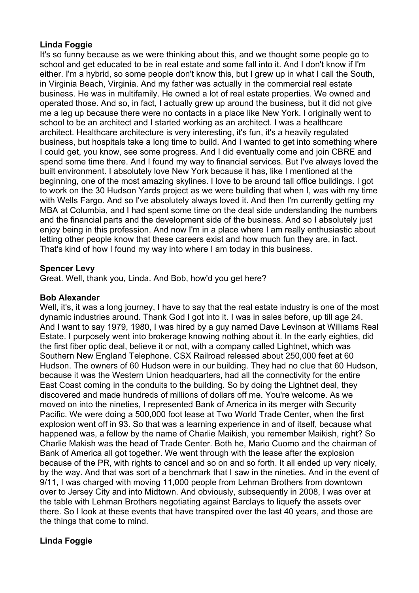# **Linda Foggie**

It's so funny because as we were thinking about this, and we thought some people go to school and get educated to be in real estate and some fall into it. And I don't know if I'm either. I'm a hybrid, so some people don't know this, but I grew up in what I call the South, in Virginia Beach, Virginia. And my father was actually in the commercial real estate business. He was in multifamily. He owned a lot of real estate properties. We owned and operated those. And so, in fact, I actually grew up around the business, but it did not give me a leg up because there were no contacts in a place like New York. I originally went to school to be an architect and I started working as an architect. I was a healthcare architect. Healthcare architecture is very interesting, it's fun, it's a heavily regulated business, but hospitals take a long time to build. And I wanted to get into something where I could get, you know, see some progress. And I did eventually come and join CBRE and spend some time there. And I found my way to financial services. But I've always loved the built environment. I absolutely love New York because it has, like I mentioned at the beginning, one of the most amazing skylines. I love to be around tall office buildings. I got to work on the 30 Hudson Yards project as we were building that when I, was with my time with Wells Fargo. And so I've absolutely always loved it. And then I'm currently getting my MBA at Columbia, and I had spent some time on the deal side understanding the numbers and the financial parts and the development side of the business. And so I absolutely just enjoy being in this profession. And now I'm in a place where I am really enthusiastic about letting other people know that these careers exist and how much fun they are, in fact. That's kind of how I found my way into where I am today in this business.

# **Spencer Levy**

Great. Well, thank you, Linda. And Bob, how'd you get here?

#### **Bob Alexander**

Well, it's, it was a long journey, I have to say that the real estate industry is one of the most dynamic industries around. Thank God I got into it. I was in sales before, up till age 24. And I want to say 1979, 1980, I was hired by a guy named Dave Levinson at Williams Real Estate. I purposely went into brokerage knowing nothing about it. In the early eighties, did the first fiber optic deal, believe it or not, with a company called Lightnet, which was Southern New England Telephone. CSX Railroad released about 250,000 feet at 60 Hudson. The owners of 60 Hudson were in our building. They had no clue that 60 Hudson, because it was the Western Union headquarters, had all the connectivity for the entire East Coast coming in the conduits to the building. So by doing the Lightnet deal, they discovered and made hundreds of millions of dollars off me. You're welcome. As we moved on into the nineties, I represented Bank of America in its merger with Security Pacific. We were doing a 500,000 foot lease at Two World Trade Center, when the first explosion went off in 93. So that was a learning experience in and of itself, because what happened was, a fellow by the name of Charlie Maikish, you remember Maikish, right? So Charlie Makish was the head of Trade Center. Both he, Mario Cuomo and the chairman of Bank of America all got together. We went through with the lease after the explosion because of the PR, with rights to cancel and so on and so forth. It all ended up very nicely, by the way. And that was sort of a benchmark that I saw in the nineties. And in the event of 9/11, I was charged with moving 11,000 people from Lehman Brothers from downtown over to Jersey City and into Midtown. And obviously, subsequently in 2008, I was over at the table with Lehman Brothers negotiating against Barclays to liquefy the assets over there. So I look at these events that have transpired over the last 40 years, and those are the things that come to mind.

# **Linda Foggie**